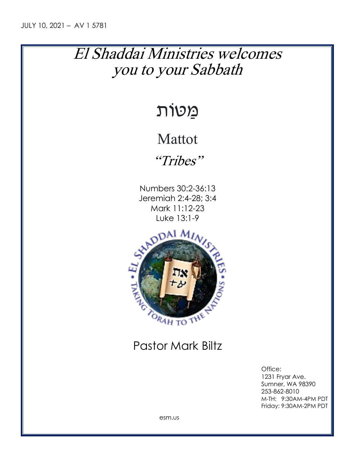## El Shaddai Ministries welcomes you to your Sabbath

# מַּ טּוֹת

### Mattot

"Tribes"

Numbers 30:2-36:13 Jeremiah 2:4-28; 3:4 Mark 11:12-23 Luke 13:1-9



### Pastor Mark Biltz

Office: 1231 Fryar Ave. Sumner, WA 98390 253-862-8010 M-TH: 9:30AM-4PM PDT Friday: 9:30AM-2PM PDT

esm.us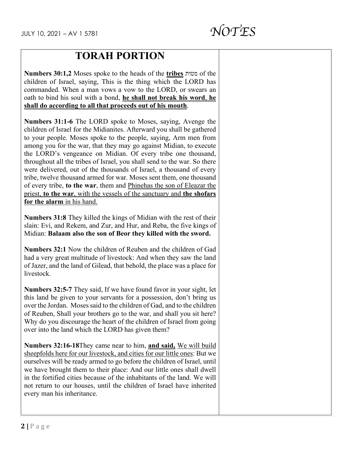### **TORAH PORTION**

**Numbers 30:1,2** Moses spoke to the heads of the **tribes** מטות of the children of Israel, saying, This is the thing which the LORD has commanded. When a man vows a vow to the LORD, or swears an oath to bind his soul with a bond, **he shall not break his word**, **he shall do according to all that proceeds out of his mouth**.

**Numbers 31:1-6** The LORD spoke to Moses, saying, Avenge the children of Israel for the Midianites. Afterward you shall be gathered to your people. Moses spoke to the people, saying, Arm men from among you for the war, that they may go against Midian, to execute the LORD's vengeance on Midian. Of every tribe one thousand, throughout all the tribes of Israel, you shall send to the war. So there were delivered, out of the thousands of Israel, a thousand of every tribe, twelve thousand armed for war. Moses sent them, one thousand of every tribe, **to the war**, them and Phinehas the son of Eleazar the priest, **to the war**, with the vessels of the sanctuary and **the shofars for the alarm** in his hand.

**Numbers 31:8** They killed the kings of Midian with the rest of their slain: Evi, and Rekem, and Zur, and Hur, and Reba, the five kings of Midian: **Balaam also the son of Beor they killed with the sword.**

**Numbers 32:1** Now the children of Reuben and the children of Gad had a very great multitude of livestock: And when they saw the land of Jazer, and the land of Gilead, that behold, the place was a place for livestock.

**Numbers 32:5-7** They said, If we have found favor in your sight, let this land be given to your servants for a possession, don't bring us over the Jordan. Moses said to the children of Gad, and to the children of Reuben, Shall your brothers go to the war, and shall you sit here? Why do you discourage the heart of the children of Israel from going over into the land which the LORD has given them?

**Numbers 32:16-18**They came near to him, **and said,** We will build sheepfolds here for our livestock, and cities for our little ones: But we ourselves will be ready armed to go before the children of Israel, until we have brought them to their place: And our little ones shall dwell in the fortified cities because of the inhabitants of the land. We will not return to our houses, until the children of Israel have inherited every man his inheritance.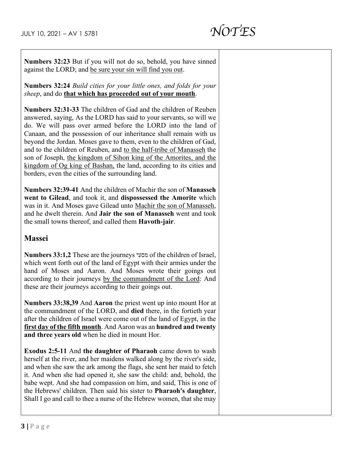**Numbers 32:23** But if you will not do so, behold, you have sinned against the LORD; and be sure your sin will find you out.

**Numbers 32:24** *Build cities for your little ones, and folds for your sheep*, and do **that which has proceeded out of your mouth**.

**Numbers 32:31-33** The children of Gad and the children of Reuben answered, saying, As the LORD has said to your servants, so will we do. We will pass over armed before the LORD into the land of Canaan, and the possession of our inheritance shall remain with us beyond the Jordan. Moses gave to them, even to the children of Gad, and to the children of Reuben, and to the half-tribe of Manasseh the son of Joseph, the kingdom of Sihon king of the Amorites, and the kingdom of Og king of Bashan, the land, according to its cities and borders, even the cities of the surrounding land.

**Numbers 32:39-41** And the children of Machir the son of **Manasseh went to Gilead**, and took it, and **dispossessed the Amorite** which was in it. And Moses gave Gilead unto Machir the son of Manasseh, and he dwelt therein. And **Jair the son of Manasseh** went and took the small towns thereof, and called them **Havoth-jair**.

#### **Massei**

**Numbers 33:1,2** These are the journeys מסעי of the children of Israel, which went forth out of the land of Egypt with their armies under the hand of Moses and Aaron. And Moses wrote their goings out according to their journeys by the commandment of the Lord: And these are their journeys according to their goings out.

**Numbers 33:38,39** And **Aaron** the priest went up into mount Hor at the commandment of the LORD, and **died** there, in the fortieth year after the children of Israel were come out of the land of Egypt, in the **first day of the fifth month**. And Aaron was an **hundred and twenty and three years old** when he died in mount Hor.

**Exodus 2:5-11** And **the daughter of Pharaoh** came down to wash herself at the river, and her maidens walked along by the river's side, and when she saw the ark among the flags, she sent her maid to fetch it. And when she had opened it, she saw the child: and, behold, the babe wept. And she had compassion on him, and said, This is one of the Hebrews' children. Then said his sister to **Pharaoh's daughter**, Shall I go and call to thee a nurse of the Hebrew women, that she may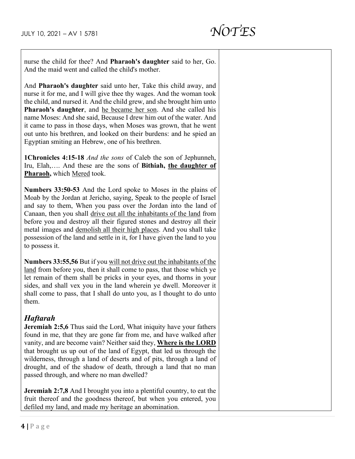nurse the child for thee? And **Pharaoh's daughter** said to her, Go. And the maid went and called the child's mother.

And **Pharaoh's daughter** said unto her, Take this child away, and nurse it for me, and I will give thee thy wages. And the woman took the child, and nursed it. And the child grew, and she brought him unto **Pharaoh's daughter**, and he became her son. And she called his name Moses: And she said, Because I drew him out of the water. And it came to pass in those days, when Moses was grown, that he went out unto his brethren, and looked on their burdens: and he spied an Egyptian smiting an Hebrew, one of his brethren.

**1Chronicles 4:15-18** *And the sons* of Caleb the son of Jephunneh, Iru, Elah,…. And these are the sons of **Bithiah, the daughter of Pharaoh,** which Mered took.

**Numbers 33:50-53** And the Lord spoke to Moses in the plains of Moab by the Jordan at Jericho, saying, Speak to the people of Israel and say to them, When you pass over the Jordan into the land of Canaan, then you shall drive out all the inhabitants of the land from before you and destroy all their figured stones and destroy all their metal images and demolish all their high places. And you shall take possession of the land and settle in it, for I have given the land to you to possess it.

**Numbers 33:55,56** But if you will not drive out the inhabitants of the land from before you, then it shall come to pass, that those which ye let remain of them shall be pricks in your eyes, and thorns in your sides, and shall vex you in the land wherein ye dwell. Moreover it shall come to pass, that I shall do unto you, as I thought to do unto them.

#### *Haftarah*

**Jeremiah 2:5,6** Thus said the Lord, What iniquity have your fathers found in me, that they are gone far from me, and have walked after vanity, and are become vain? Neither said they, **Where is the LORD** that brought us up out of the land of Egypt, that led us through the wilderness, through a land of deserts and of pits, through a land of drought, and of the shadow of death, through a land that no man passed through, and where no man dwelled?

**Jeremiah 2:7,8** And I brought you into a plentiful country, to eat the fruit thereof and the goodness thereof, but when you entered, you defiled my land, and made my heritage an abomination.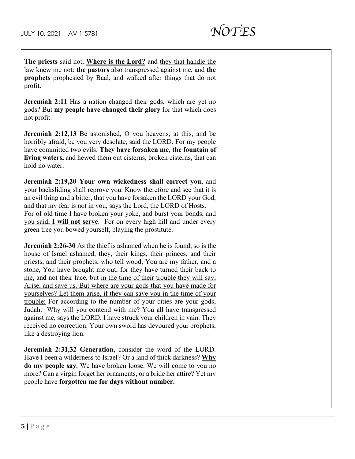**The priests** said not, **Where is the Lord?** and they that handle the law knew me not: **the pastors** also transgressed against me, and **the prophets** prophesied by Baal, and walked after things that do not profit.

**Jeremiah 2:11** Has a nation changed their gods, which are yet no gods? But **my people have changed their glory** for that which does not profit.

**Jeremiah 2:12,13** Be astonished, O you heavens, at this, and be horribly afraid, be you very desolate, said the LORD. For my people have committed two evils: **They have forsaken me, the fountain of living waters,** and hewed them out cisterns, broken cisterns, that can hold no water.

**Jeremiah 2:19,20 Your own wickedness shall correct you,** and your backsliding shall reprove you. Know therefore and see that it is an evil thing and a bitter, that you have forsaken the LORD your God, and that my fear is not in you, says the Lord, the LORD of Hosts. For of old time I have broken your yoke, and burst your bonds, and you said, **I will not serve**. For on every high hill and under every green tree you bowed yourself, playing the prostitute.

**Jeremiah 2:26-30** As the thief is ashamed when he is found, so is the house of Israel ashamed, they, their kings, their princes, and their priests, and their prophets, who tell wood, You are my father, and a stone, You have brought me out, for they have turned their back to me, and not their face, but in the time of their trouble they will say, Arise, and save us. But where are your gods that you have made for yourselves? Let them arise, if they can save you in the time of your trouble: For according to the number of your cities are your gods, Judah. Why will you contend with me? You all have transgressed against me, says the LORD. I have struck your children in vain. They received no correction. Your own sword has devoured your prophets, like a destroying lion.

**Jeremiah 2:31,32 Generation,** consider the word of the LORD. Have I been a wilderness to Israel? Or a land of thick darkness? **Why do my people say**, We have broken loose. We will come to you no more? Can a virgin forget her ornaments, or a bride her attire? Yet my people have **forgotten me for days without number.**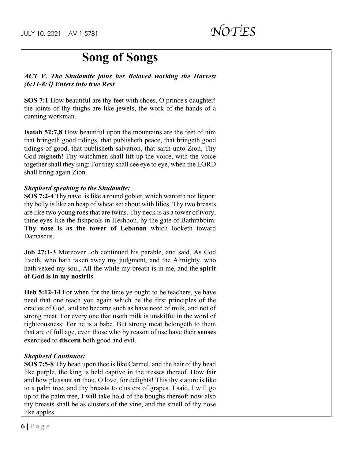### **Song of Songs**

*ACT V. The Shulamite joins her Beloved working the Harvest {6:11-8:4} Enters into true Rest*

**SOS 7:1** How beautiful are thy feet with shoes, O prince's daughter! the joints of thy thighs are like jewels, the work of the hands of a cunning workman.

**Isaiah 52:7,8** How beautiful upon the mountains are the feet of him that bringeth good tidings, that publisheth peace, that bringeth good tidings of good, that publisheth salvation, that saith unto Zion, Thy God reigneth! Thy watchmen shall lift up the voice, with the voice together shall they sing: For they shall see eye to eye, when the LORD shall bring again Zion.

#### *Shepherd speaking to the Shulamite:*

**SOS 7:2-4** Thy navel is like a round goblet, which wanteth not liquor: thy belly is like an heap of wheat set about with lilies. Thy two breasts are like two young roes that are twins. Thy neck is as a tower of ivory, thine eyes like the fishpools in Heshbon, by the gate of Bathrabbim: **Thy nose is as the tower of Lebanon** which looketh toward Damascus.

**Job 27:1-3** Moreover Job continued his parable, and said, As God liveth, who hath taken away my judgment, and the Almighty, who hath vexed my soul, All the while my breath is in me, and the **spirit of God is in my nostrils**.

**Heb 5:12-14** For when for the time ye ought to be teachers, ye have need that one teach you again which be the first principles of the oracles of God, and are become such as have need of milk, and not of strong meat. For every one that useth milk is unskilful in the word of righteousness: For he is a babe. But strong meat belongeth to them that are of full age, even those who by reason of use have their **senses** exercised to **discern** both good and evil.

#### *Shepherd Continues:*

**SOS 7:5-8** Thy head upon thee is like Carmel, and the hair of thy head like purple, the king is held captive in the tresses thereof. How fair and how pleasant art thou, O love, for delights! This thy stature is like to a palm tree, and thy breasts to clusters of grapes. I said, I will go up to the palm tree, I will take hold of the boughs thereof: now also thy breasts shall be as clusters of the vine, and the smell of thy nose like apples.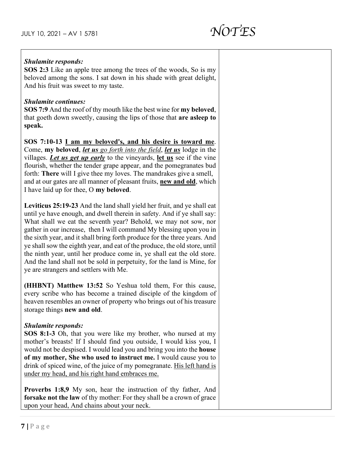#### *Shulamite responds:*

**SOS 2:3** Like an apple tree among the trees of the woods, So is my beloved among the sons. I sat down in his shade with great delight, And his fruit was sweet to my taste.

#### *Shulamite continues:*

**SOS 7:9** And the roof of thy mouth like the best wine for **my beloved**, that goeth down sweetly, causing the lips of those that **are asleep to speak.**

**SOS 7:10-13 I am my beloved's, and his desire is toward me**. Come, **my beloved**, *let us go forth into the field*, *let us* lodge in the villages. *Let us get up early* to the vineyards, **let us** see if the vine flourish, whether the tender grape appear, and the pomegranates bud forth: **There** will I give thee my loves. The mandrakes give a smell, and at our gates are all manner of pleasant fruits, **new and old**, which I have laid up for thee, O **my beloved**.

**Leviticus 25:19-23** And the land shall yield her fruit, and ye shall eat until ye have enough, and dwell therein in safety. And if ye shall say: What shall we eat the seventh year? Behold, we may not sow, nor gather in our increase, then I will command My blessing upon you in the sixth year, and it shall bring forth produce for the three years. And ye shall sow the eighth year, and eat of the produce, the old store, until the ninth year, until her produce come in, ye shall eat the old store. And the land shall not be sold in perpetuity, for the land is Mine, for ye are strangers and settlers with Me.

**(HHBNT) Matthew 13:52** So Yeshua told them, For this cause, every scribe who has become a trained disciple of the kingdom of heaven resembles an owner of property who brings out of his treasure storage things **new and old**.

#### *Shulamite responds:*

**SOS 8:1-3** Oh, that you were like my brother, who nursed at my mother's breasts! If I should find you outside, I would kiss you, I would not be despised. I would lead you and bring you into the **house of my mother, She who used to instruct me.** I would cause you to drink of spiced wine, of the juice of my pomegranate. His left hand is under my head, and his right hand embraces me.

**Proverbs 1:8,9** My son, hear the instruction of thy father, And **forsake not the law** of thy mother: For they shall be a crown of grace upon your head, And chains about your neck.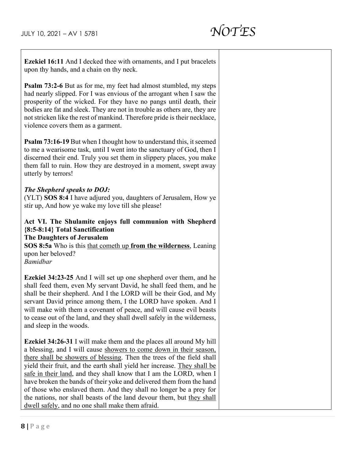**Ezekiel 16:11** And I decked thee with ornaments, and I put bracelets upon thy hands, and a chain on thy neck.

**Psalm 73:2-6** But as for me, my feet had almost stumbled, my steps had nearly slipped. For I was envious of the arrogant when I saw the prosperity of the wicked. For they have no pangs until death, their bodies are fat and sleek. They are not in trouble as others are, they are not stricken like the rest of mankind. Therefore pride is their necklace, violence covers them as a garment.

**Psalm 73:16-19** But when I thought how to understand this, it seemed to me a wearisome task, until I went into the sanctuary of God, then I discerned their end. Truly you set them in slippery places, you make them fall to ruin. How they are destroyed in a moment, swept away utterly by terrors!

#### *The Shepherd speaks to DOJ:*

(YLT) **SOS 8:4** I have adjured you, daughters of Jerusalem, How ye stir up, And how ye wake my love till she please!

#### **Act VI. The Shulamite enjoys full communion with Shepherd {8:5-8:14} Total Sanctification**

**The Daughters of Jerusalem**

**SOS 8:5a** Who is this that cometh up **from the wilderness**, Leaning upon her beloved?

*Bamidbar*

**Ezekiel 34:23-25** And I will set up one shepherd over them, and he shall feed them, even My servant David, he shall feed them, and he shall be their shepherd. And I the LORD will be their God, and My servant David prince among them, I the LORD have spoken. And I will make with them a covenant of peace, and will cause evil beasts to cease out of the land, and they shall dwell safely in the wilderness, and sleep in the woods.

**Ezekiel 34:26-31** I will make them and the places all around My hill a blessing, and I will cause showers to come down in their season, there shall be showers of blessing. Then the trees of the field shall yield their fruit, and the earth shall yield her increase. They shall be safe in their land, and they shall know that I am the LORD, when I have broken the bands of their yoke and delivered them from the hand of those who enslaved them. And they shall no longer be a prey for the nations, nor shall beasts of the land devour them, but they shall dwell safely, and no one shall make them afraid.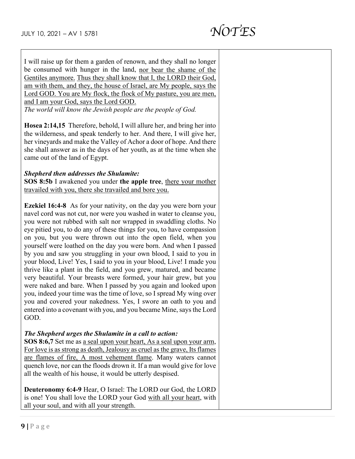I will raise up for them a garden of renown, and they shall no longer be consumed with hunger in the land, nor bear the shame of the Gentiles anymore. Thus they shall know that I, the LORD their God, am with them, and they, the house of Israel, are My people, says the Lord GOD. You are My flock, the flock of My pasture, you are men, and I am your God, says the Lord GOD.

*The world will know the Jewish people are the people of God.*

**Hosea 2:14,15** Therefore, behold, I will allure her, and bring her into the wilderness, and speak tenderly to her. And there, I will give her, her vineyards and make the Valley of Achor a door of hope. And there she shall answer as in the days of her youth, as at the time when she came out of the land of Egypt.

#### *Shepherd then addresses the Shulamite:*

**SOS 8:5b** I awakened you under **the apple tree**, there your mother travailed with you, there she travailed and bore you.

**Ezekiel 16:4-8** As for your nativity, on the day you were born your navel cord was not cut, nor were you washed in water to cleanse you, you were not rubbed with salt nor wrapped in swaddling cloths. No eye pitied you, to do any of these things for you, to have compassion on you, but you were thrown out into the open field, when you yourself were loathed on the day you were born. And when I passed by you and saw you struggling in your own blood, I said to you in your blood, Live! Yes, I said to you in your blood, Live! I made you thrive like a plant in the field, and you grew, matured, and became very beautiful. Your breasts were formed, your hair grew, but you were naked and bare. When I passed by you again and looked upon you, indeed your time was the time of love, so I spread My wing over you and covered your nakedness. Yes, I swore an oath to you and entered into a covenant with you, and you became Mine, says the Lord GOD.

#### *The Shepherd urges the Shulamite in a call to action:*

**SOS 8:6,7** Set me as a seal upon your heart, As a seal upon your arm, For love is as strong as death, Jealousy as cruel as the grave, Its flames are flames of fire, A most vehement flame. Many waters cannot quench love, nor can the floods drown it. If a man would give for love all the wealth of his house, it would be utterly despised.

**Deuteronomy 6:4-9** Hear, O Israel: The LORD our God, the LORD is one! You shall love the LORD your God with all your heart, with all your soul, and with all your strength.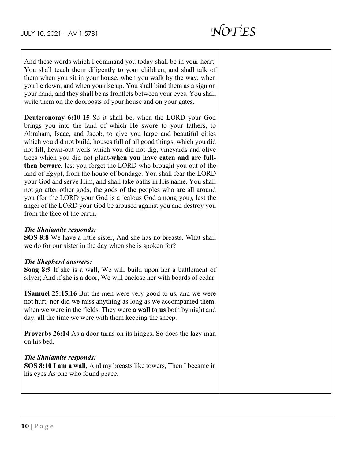And these words which I command you today shall be in your heart. You shall teach them diligently to your children, and shall talk of them when you sit in your house, when you walk by the way, when you lie down, and when you rise up. You shall bind them as a sign on your hand, and they shall be as frontlets between your eyes. You shall write them on the doorposts of your house and on your gates.

**Deuteronomy 6:10-15** So it shall be, when the LORD your God brings you into the land of which He swore to your fathers, to Abraham, Isaac, and Jacob, to give you large and beautiful cities which you did not build, houses full of all good things, which you did not fill, hewn-out wells which you did not dig, vineyards and olive trees which you did not plant-**when you have eaten and are fullthen beware**, lest you forget the LORD who brought you out of the land of Egypt, from the house of bondage. You shall fear the LORD your God and serve Him, and shall take oaths in His name. You shall not go after other gods, the gods of the peoples who are all around you (for the LORD your God is a jealous God among you), lest the anger of the LORD your God be aroused against you and destroy you from the face of the earth.

#### *The Shulamite responds:*

**SOS 8:8** We have a little sister, And she has no breasts. What shall we do for our sister in the day when she is spoken for?

#### *The Shepherd answers:*

**Song 8:9** If she is a wall, We will build upon her a battlement of silver; And if she is a door, We will enclose her with boards of cedar.

**1Samuel 25:15,16** But the men were very good to us, and we were not hurt, nor did we miss anything as long as we accompanied them, when we were in the fields. They were **a wall to us** both by night and day, all the time we were with them keeping the sheep.

**Proverbs 26:14** As a door turns on its hinges, So does the lazy man on his bed.

#### *The Shulamite responds:*

**SOS 8:10 I am a wall**, And my breasts like towers, Then I became in his eyes As one who found peace.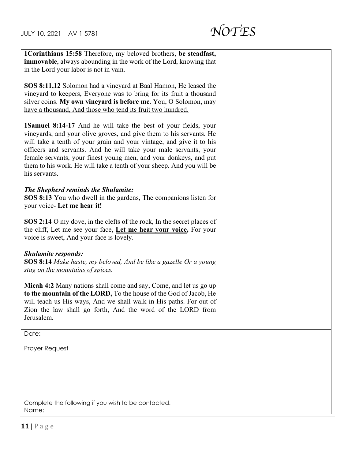

| 1Corinthians 15:58 Therefore, my beloved brothers, be steadfast,                                                                                                                                                                                                                                                                                                                                                                                        |  |
|---------------------------------------------------------------------------------------------------------------------------------------------------------------------------------------------------------------------------------------------------------------------------------------------------------------------------------------------------------------------------------------------------------------------------------------------------------|--|
| immovable, always abounding in the work of the Lord, knowing that                                                                                                                                                                                                                                                                                                                                                                                       |  |
| in the Lord your labor is not in vain.                                                                                                                                                                                                                                                                                                                                                                                                                  |  |
|                                                                                                                                                                                                                                                                                                                                                                                                                                                         |  |
| SOS 8:11,12 Solomon had a vineyard at Baal Hamon, He leased the                                                                                                                                                                                                                                                                                                                                                                                         |  |
| vineyard to keepers, Everyone was to bring for its fruit a thousand                                                                                                                                                                                                                                                                                                                                                                                     |  |
| silver coins. My own vineyard is before me. You, O Solomon, may                                                                                                                                                                                                                                                                                                                                                                                         |  |
| have a thousand, And those who tend its fruit two hundred.                                                                                                                                                                                                                                                                                                                                                                                              |  |
| <b>1Samuel 8:14-17</b> And he will take the best of your fields, your<br>vineyards, and your olive groves, and give them to his servants. He<br>will take a tenth of your grain and your vintage, and give it to his<br>officers and servants. And he will take your male servants, your<br>female servants, your finest young men, and your donkeys, and put<br>them to his work. He will take a tenth of your sheep. And you will be<br>his servants. |  |
| <b>The Shepherd reminds the Shulamite:</b>                                                                                                                                                                                                                                                                                                                                                                                                              |  |
| SOS 8:13 You who dwell in the gardens, The companions listen for                                                                                                                                                                                                                                                                                                                                                                                        |  |
| your voice- Let me hear it!                                                                                                                                                                                                                                                                                                                                                                                                                             |  |
|                                                                                                                                                                                                                                                                                                                                                                                                                                                         |  |
| SOS 2:14 O my dove, in the clefts of the rock, In the secret places of<br>the cliff, Let me see your face, Let me hear your voice, For your<br>voice is sweet, And your face is lovely.                                                                                                                                                                                                                                                                 |  |
| <b>Shulamite responds:</b>                                                                                                                                                                                                                                                                                                                                                                                                                              |  |
| SOS 8:14 Make haste, my beloved, And be like a gazelle Or a young                                                                                                                                                                                                                                                                                                                                                                                       |  |
| stag on the mountains of spices.                                                                                                                                                                                                                                                                                                                                                                                                                        |  |
|                                                                                                                                                                                                                                                                                                                                                                                                                                                         |  |
| Micah 4:2 Many nations shall come and say, Come, and let us go up                                                                                                                                                                                                                                                                                                                                                                                       |  |
| to the mountain of the LORD, To the house of the God of Jacob, He                                                                                                                                                                                                                                                                                                                                                                                       |  |
| will teach us His ways, And we shall walk in His paths. For out of                                                                                                                                                                                                                                                                                                                                                                                      |  |
| Zion the law shall go forth, And the word of the LORD from                                                                                                                                                                                                                                                                                                                                                                                              |  |
| Jerusalem.                                                                                                                                                                                                                                                                                                                                                                                                                                              |  |
|                                                                                                                                                                                                                                                                                                                                                                                                                                                         |  |
| Date:                                                                                                                                                                                                                                                                                                                                                                                                                                                   |  |

Prayer Request

Complete the following if you wish to be contacted. Name: